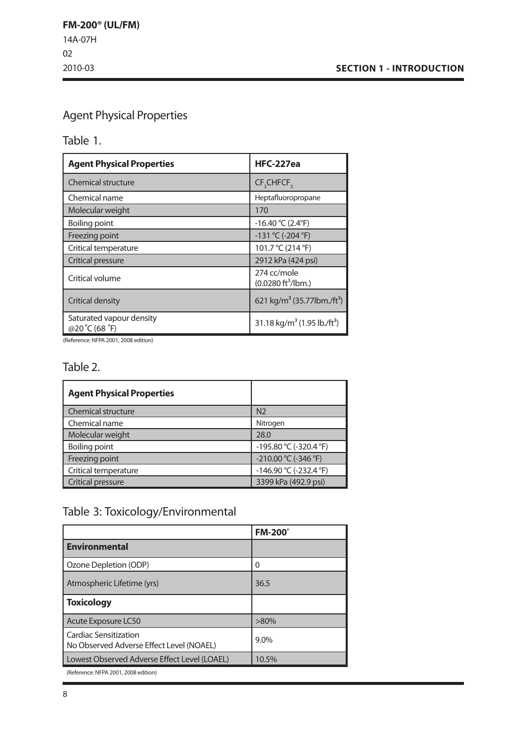# Agent Physical Properties

Table 1.

| <b>Agent Physical Properties</b>          | <b>HFC-227ea</b>                                    |  |  |
|-------------------------------------------|-----------------------------------------------------|--|--|
| <b>Chemical structure</b>                 | CF <sub>3</sub> CHFCF <sub>3</sub>                  |  |  |
| Chemical name                             | Heptafluoropropane                                  |  |  |
| Molecular weight                          | 170                                                 |  |  |
| Boiling point                             | $-16.40 °C (2.4 °F)$                                |  |  |
| Freezing point                            | $-131$ °C (-204 °F)                                 |  |  |
| Critical temperature                      | 101.7 °C (214 °F)                                   |  |  |
| Critical pressure                         | 2912 kPa (424 psi)                                  |  |  |
| Critical volume                           | 274 cc/mole<br>$(0.0280 \text{ ft}^3/\text{lbm.})$  |  |  |
| Critical density                          | 621 kg/m <sup>3</sup> (35.77lbm./ft <sup>3</sup> )  |  |  |
| Saturated vapour density<br>@20°C (68 °F) | 31.18 kg/m <sup>3</sup> (1.95 lb./ft <sup>3</sup> ) |  |  |

(Reference: NFPA 2001, 2008 edition)

### Table 2.

| <b>Agent Physical Properties</b> |                        |
|----------------------------------|------------------------|
| <b>Chemical structure</b>        | N <sub>2</sub>         |
| Chemical name                    | Nitrogen               |
| Molecular weight                 | 28.0                   |
| <b>Boiling point</b>             | -195.80 °C (-320.4 °F) |
| Freezing point                   | -210.00 °C (-346 °F)   |
| Critical temperature             | -146.90 °C (-232.4 °F) |
| Critical pressure                | 3399 kPa (492.9 psi)   |

# Table 3: Toxicology/Environmental

|                                                                   | <b>FM-200</b> ° |
|-------------------------------------------------------------------|-----------------|
| <b>Environmental</b>                                              |                 |
| Ozone Depletion (ODP)                                             | 0               |
| Atmospheric Lifetime (yrs)                                        | 36.5            |
| <b>Toxicology</b>                                                 |                 |
| Acute Exposure LC50                                               | $>80\%$         |
| Cardiac Sensitization<br>No Observed Adverse Effect Level (NOAEL) | 9.0%            |
| Lowest Observed Adverse Effect Level (LOAEL)                      | 10.5%           |
|                                                                   |                 |

(Reference: NFPA 2001, 2008 edition)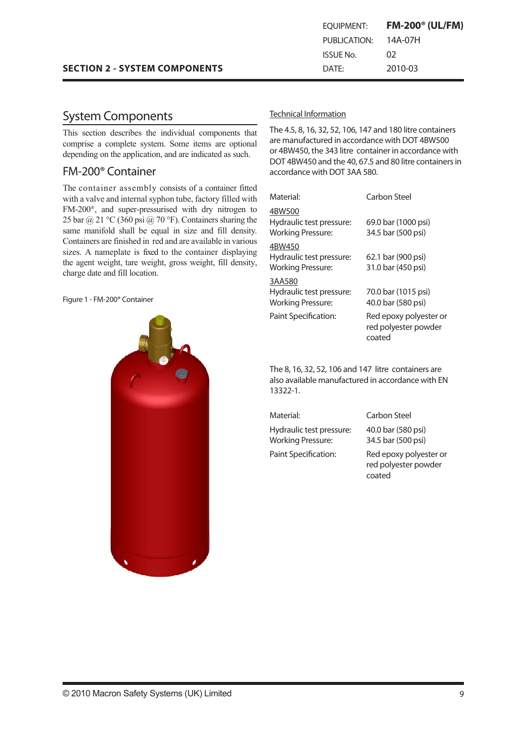# System Components

This section describes the individual components that comprise a complete system. Some items are optional depending on the application, and are indicated as such.

### FM-200® Container

The container assembly consists of a container fitted with a valve and internal syphon tube, factory filled with FM-200®, and super-pressurised with dry nitrogen to 25 bar @ 21 °C (360 psi @ 70 °F). Containers sharing the same manifold shall be equal in size and fill density. Containers are finished in red and are available in various sizes. A nameplate is fixed to the container displaying the agent weight, tare weight, gross weight, fill density, charge date and fill location.

Figure 1 - FM-200® Container



### Technical Information

The 4.5, 8, 16, 32, 52, 106, 147 and 180 litre containers are manufactured in accordance with DOT 4BW500 or 4BW450, the 343 litre container in accordance with DOT 4BW450 and the 40, 67.5 and 80 litre containersin accordance with DOT 3AA 580.

| Material:                                                      | Carbon Steel                                             |
|----------------------------------------------------------------|----------------------------------------------------------|
| 4BW500<br>Hydraulic test pressure:<br>Working Pressure:        | 69.0 bar (1000 psi)<br>34.5 bar (500 psi)                |
| 4BW450<br>Hydraulic test pressure:<br><b>Working Pressure:</b> | 62.1 bar (900 psi)<br>31.0 bar (450 psi)                 |
| 3AA580<br>Hydraulic test pressure:<br><b>Working Pressure:</b> | 70.0 bar (1015 psi)<br>40.0 bar (580 psi)                |
| Paint Specification:                                           | Red epoxy polyester or<br>red polyester powder<br>coated |

The 8, 16, 32, 52, 106 and 147 litre containers are also available manufactured in accordance with EN 13322-1.

Material: Carbon Steel Hydraulic test pressure: Working Pressure:

40.0 bar (580 psi) 34.5 bar (500 psi) Paint Specification: Red epoxy polyester or red polyester powder

coated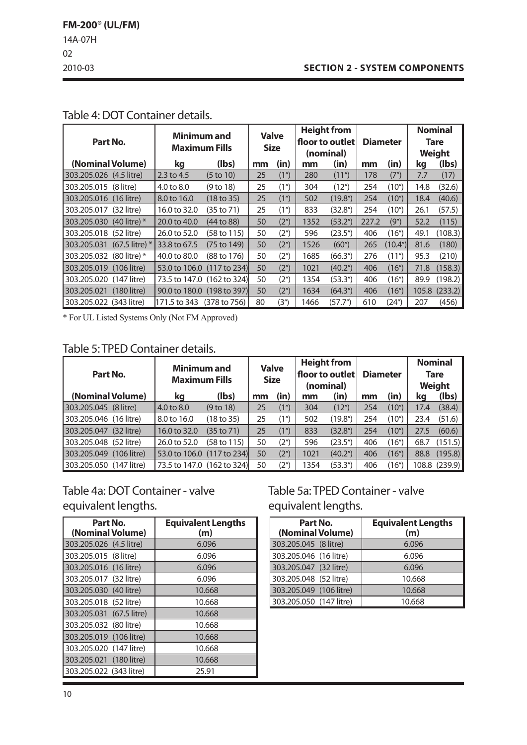### **SECTION 2 - SYSTEM COMPONENTS**

|                          | Part No.         |                            | <b>Minimum and</b><br><b>Maximum Fills</b> |    | <b>Valve</b><br><b>Size</b> |      | <b>Height from</b><br>  floor to outlet  <br>(nominal) |       | <b>Diameter</b>     |      | <b>Nominal</b><br><b>Tare</b><br><b>Weight</b> |
|--------------------------|------------------|----------------------------|--------------------------------------------|----|-----------------------------|------|--------------------------------------------------------|-------|---------------------|------|------------------------------------------------|
| (Nominal Volume)         |                  | kq                         | (lbs)                                      | mm | (in)                        | mm   | (in)                                                   | mm    | (in)                | kq   | (lbs)                                          |
| 303.205.026 (4.5 litre)  |                  | 2.3 to 4.5                 | $(5 \text{ to } 10)$                       | 25 | (1 <sup>n</sup> )           | 280  | (11")                                                  | 178   | (7")                | 7.7  | (17)                                           |
| 303.205.015 (8 litre)    |                  | 4.0 to 8.0                 | (9 to 18)                                  | 25 | (1 <sup>n</sup> )           | 304  | (12 <sup>n</sup> )                                     | 254   | (10")               | 14.8 | (32.6)                                         |
| 303.205.016 (16 litre)   |                  | 8.0 to 16.0                | $(18 \text{ to } 35)$                      | 25 | (1")                        | 502  | (19.8 <sup>''</sup> )                                  | 254   | (10 <sup>''</sup> ) | 18.4 | (40.6)                                         |
| 303.205.017 (32 litre)   |                  | 16.0 to 32.0               | (35 to 71)                                 | 25 | (1 <sup>n</sup> )           | 833  | (32.8 <sup>''</sup> )                                  | 254   | (10 <sup>n</sup> )  | 26.1 | (57.5)                                         |
| 303.205.030 (40 litre) * |                  | 20.0 to 40.0               | (44 to 88)                                 | 50 | (2 <sup>n</sup> )           | 1352 | (53.2 <sup>′</sup> )                                   | 227.2 | (9")                | 52.2 | (115)                                          |
| 303.205.018 (52 litre)   |                  | 26.0 to 52.0               | (58 to 115)                                | 50 | (2 <sup>n</sup> )           | 596  | (23.5")                                                | 406   | (16")               | 49.1 | (108.3)                                        |
| 303.205.031              | $(67.5$ litre) * | 33.8 to 67.5               | $(75 \text{ to } 149)$                     | 50 | (2 <sup>n</sup> )           | 1526 | (60")                                                  | 265   | (10.4")             | 81.6 | (180)                                          |
| 303.205.032 (80 litre) * |                  | 40.0 to 80.0               | (88 to 176)                                | 50 | (2 <sup>n</sup> )           | 1685 | (66.3")                                                | 276   | (11")               | 95.3 | (210)                                          |
| 303.205.019 (106 litre)  |                  | 53.0 to 106.0 (117 to 234) |                                            | 50 | (2 <sup>n</sup> )           | 1021 | (40.2 <sup>′</sup> )                                   | 406   | (16")               | 71.8 | (158.3)                                        |
| 303.205.020 (147 litre)  |                  | 73.5 to 147.0 (162 to 324) |                                            | 50 | (2 <sup>n</sup> )           | 1354 | (53.3")                                                | 406   | (16")               | 89.9 | (198.2)                                        |
| 303.205.021              | $(180$ litre)    | 90.0 to 180.0 (198 to 397) |                                            | 50 | (2 <sup>n</sup> )           | 1634 | (64.3")                                                | 406   | (16")               |      | 105.8 (233.2)                                  |
| 303.205.022 (343 litre)  |                  | 171.5 to 343               | (378 to 756)                               | 80 | (3")                        | 1466 | (57.7")                                                | 610   | (24")               | 207  | (456)                                          |

# Table 4: DOT Container details.

\* For UL Listed Systems Only (Not FM Approved)

# Table 5: TPED Container details.

| Part No.                     | <b>Minimum and</b><br><b>Maximum Fills</b> |                      | <b>Valve</b><br><b>Size</b> |                   |      | <b>Height from</b><br>floor to outlet<br>(nominal) | <b>Diameter</b> |                     |      | <b>Nominal</b><br><b>Tare</b><br><b>Weight</b> |
|------------------------------|--------------------------------------------|----------------------|-----------------------------|-------------------|------|----------------------------------------------------|-----------------|---------------------|------|------------------------------------------------|
| (Nominal Volume)             | ka                                         | (lbs)                | mm                          | (in)              | mm   | (in)                                               | mm              | (in)                | kq   | (Ibs)                                          |
| 303.205.045 (8 litre)        | 4.0 to 8.0                                 | (9 <sub>to</sub> 18) | 25                          | (1 <sup>n</sup> ) | 304  | (12 <sup>''</sup> )                                | 254             | (10 <sup>''</sup> ) | 17.4 | (38.4)                                         |
| 303.205.046 (16 litre)       | 8.0 to 16.0                                | (18 to 35)           | 25                          | (1")              | 502  | (19.8 <sup>′</sup> )                               | 254             | (10 <sup>n</sup> )  | 23.4 | (51.6)                                         |
| $(32$ litre)<br>303.205.047  | 16.0 to 32.0                               | (35 to 71)           | 25                          | (1 <sup>n</sup> ) | 833  | (32.8 <sup>''</sup> )                              | 254             | (10 <sup>''</sup> ) | 27.5 | (60.6)                                         |
| 303.205.048 (52 litre)       | 26.0 to 52.0                               | (58 to 115)          | 50                          | (2 <sup>n</sup> ) | 596  | (23.5")                                            | 406             | (16")               | 68.7 | (151.5)                                        |
| $(106$ litre)<br>303.205.049 | 53.0 to 106.0 (117 to 234)                 |                      | 50                          | (2 <sup>n</sup> ) | 1021 | (40.2 <sup>′</sup> )                               | 406             | (16")               | 88.8 | (195.8)                                        |
| 303.205.050 (147 litre)      | 73.5 to 147.0 (162 to 324)                 |                      | 50                          | (2")              | 1354 | (53.3")                                            | 406             | (16")               |      | 108.8(239.9)                                   |

# Table 4a: DOT Container - valve equivalent lengths.

| Part No.<br>(Nominal Volume) | <b>Equivalent Lengths</b><br>(m) |
|------------------------------|----------------------------------|
| 303.205.026 (4.5 litre)      | 6.096                            |
| 303.205.015 (8 litre)        | 6.096                            |
| 303.205.016 (16 litre)       | 6.096                            |
| 303.205.017 (32 litre)       | 6.096                            |
| 303.205.030 (40 litre)       | 10.668                           |
| 303.205.018 (52 litre)       | 10.668                           |
| 303.205.031 (67.5 litre)     | 10.668                           |
| 303.205.032 (80 litre)       | 10.668                           |
| 303.205.019 (106 litre)      | 10.668                           |
| 303.205.020 (147 litre)      | 10.668                           |
| 303.205.021 (180 litre)      | 10.668                           |
| 303.205.022 (343 litre)      | 25.91                            |

Table 5a: TPED Container - valve equivalent lengths.

| Part No.<br>(Nominal Volume) | <b>Equivalent Lengths</b><br>(m) |
|------------------------------|----------------------------------|
| 303.205.045 (8 litre)        | 6.096                            |
| 303.205.046 (16 litre)       | 6.096                            |
| 303.205.047 (32 litre)       | 6.096                            |
| 303.205.048 (52 litre)       | 10.668                           |
| 303.205.049 (106 litre)      | 10.668                           |
| 303.205.050 (147 litre)      | 10.668                           |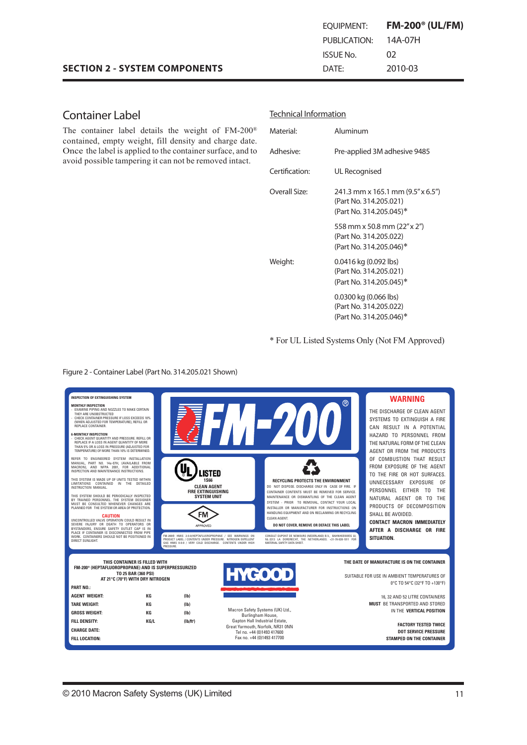# Container Label

The container label details the weight of FM-200® contained, empty weight, fill density and charge date. Once the label is applied to the container surface, and to avoid possible tampering it can not be removed intact.

| Material:             | Aluminum                                                                               |
|-----------------------|----------------------------------------------------------------------------------------|
| Adhesiye <sup>.</sup> | Pre-applied 3M adhesive 9485                                                           |
| Certification:        | UL Recognised                                                                          |
| Overall Size:         | 241.3 mm x 165.1 mm (9.5" x 6.5")<br>(Part No. 314.205.021)<br>(Part No. 314.205.045)* |
|                       | 558 mm x 50.8 mm (22" x 2")<br>(Part No. 314.205.022)<br>(Part No. 314.205.046)*       |
| Weight:               | $0.0416$ kg (0.092 lbs)<br>(Part No. 314.205.021)<br>(Part No. 314.205.045)*           |
|                       | 0.0300 kg (0.066 lbs)<br>(Part No. 314.205.022)<br>(Part No. 314.205.046)*             |

Technical Information

\* For UL Listed Systems Only (Not FM Approved)

Figure 2 - Container Label (Part No. 314.205.021 Shown)

| <b>INSPECTION OF EXTINGUISHING SYSTEM</b>                                                                                                                                                                                   |                                                                                                                                                                                                  |                                                                                                                                                                                                      | $^{\circledR}$ | <b>WARNING</b>                                                                            |
|-----------------------------------------------------------------------------------------------------------------------------------------------------------------------------------------------------------------------------|--------------------------------------------------------------------------------------------------------------------------------------------------------------------------------------------------|------------------------------------------------------------------------------------------------------------------------------------------------------------------------------------------------------|----------------|-------------------------------------------------------------------------------------------|
| <b>MONTHLY INSPECTION</b><br>- EXAMINE PIPING AND NOZZLES TO MAKE CERTAIN<br>THEY ARE UNOBSTRUCTED<br>CHECK CONTAINER PRESSURE IF LOSS EXCEEDS 10%<br>(WHEN ADJUSTED FOR TEMPERATURE), REFILL OR<br>REPLACE CONTAINER.      |                                                                                                                                                                                                  |                                                                                                                                                                                                      |                | THE DISCHARGE OF CLEAN AGENT<br>SYSTEMS TO EXTINGUISH A FIRE<br>CAN RESULT IN A POTENTIAL |
| <b>6-MONTHLY INSPECTION</b><br>- CHECK AGENT QUANTITY AND PRESSURE. REFILL OR<br>REPLACE IF A LOSS IN AGENT QUANTITY OF MORE<br>THAN 5% OR A LOSS IN PRESSURE (ADJUSTED FOR<br>TEMPERATURE) OF MORE THAN 10% IS DETERMINED. |                                                                                                                                                                                                  |                                                                                                                                                                                                      |                | HAZARD TO PERSONNEL FROM<br>THE NATURAL FORM OF THE CLEAN<br>AGENT OR FROM THE PRODUCTS   |
| REFER TO ENGINEERED SYSTEM INSTALLATION<br>MANUAL, PART NO. 14a-07H, (AVAILABLE FROM<br>MACRON), AND NFPA 2001, FOR ADDITIONAL<br>INSPECTION AND MAINTENANCE INSTRUCTIONS.                                                  | .ISTED                                                                                                                                                                                           |                                                                                                                                                                                                      |                | OF COMBUSTION THAT RESULT<br>FROM EXPOSURE OF THE AGENT<br>TO THE FIRE OR HOT SURFACES.   |
| THIS SYSTEM IS MADE UP OF UNITS TESTED WITHIN<br>LIMITATIONS CONTAINED IN THE DETAILED<br>INSTRUCTION MANUAL.                                                                                                               | <b>1S66</b><br><b>CLEAN AGENT</b><br><b>FIRE EXTINGUISHING</b>                                                                                                                                   | <b>RECYCLING PROTECTS THE ENVIRONMENT</b><br>DO NOT DISPOSE, DISCHARGE ONLY IN CASE OF FIRE. IF<br>CONTAINER CONTENTS MUST BE REMOVED FOR SERVICE                                                    |                | UNNECESSARY EXPOSURE OF<br>PERSONNEL EITHER TO<br>THE                                     |
| THIS SYSTEM SHOULD BE PERIODICALLY INSPECTED<br>BY TRAINED PERSONNEL. THE SYSTEM DESIGNER<br>MUST BE CONSULTED WHENEVER CHANGES ARE<br>PLANNED FOR THE SYSTEM OR AREA OF PROTECTION.                                        | <b>SYSTEM UNIT</b>                                                                                                                                                                               | MAINTENANCE OR DISMANTLING OF THE CLEAN AGENT<br>SYSTEM - PRIOR TO REMOVAL, CONTACT YOUR LOCAL<br>INSTALLER OR MANUFACTURER FOR INSTRUCTIONS ON<br>HANDLING EQUIPMENT AND ON RECLAIMING OR RECYCLING |                | NATURAL AGENT OR TO THE<br>PRODUCTS OF DECOMPOSITION                                      |
| <b>CAUTION</b><br>UNCONTROLLED VALVE OPERATION COULD RESULT IN<br>SEVERE INJURY OR DEATH TO OPERATORS OR<br>BYSTANDERS. ENSURE SAFETY OUTLET CAP IS IN                                                                      | FM<br>APPROVED                                                                                                                                                                                   | CLEAN AGENT.<br>DO NOT COVER, REMOVE OR DEFACE THIS LABEL                                                                                                                                            |                | SHALL BE AVOIDED.<br><b>CONTACT MACRON IMMEDIATELY</b><br>AFTER A DISCHARGE OR FIRE       |
| PLACE IF CONTAINER IS DISCONNECTED FROM PIPE<br>WORK. CONTAINERS SHOULD NOT BE POSITIONED IN<br>DIRECT SUNLIGHT.                                                                                                            | FM-200® HMIS 2-0-0/HEPTAFLUOROPROPANE / SEE WARNINGS ON<br>PRODUCT LABEL / CONTENTS UNDER PRESSURE. NITROGEN EXPELLENT<br>GAS HMIS 0-0-0 / VERY COLD DISCHARGE. CONTENTS UNDER HIGH<br>PRESSURE. | CONSULT DUPONT DE NEMOURS (NEDERLAND) B.V., BAHNHOEKWEG 22.<br>NL-3313 LA DORDRECHT. THE NETHERLANDS. +31-78-630-1011 FOR<br>MATERIAL SAFETY DATA SHEET.                                             |                | SITUATION.                                                                                |
|                                                                                                                                                                                                                             |                                                                                                                                                                                                  |                                                                                                                                                                                                      |                |                                                                                           |
| THIS CONTAINER IS FILLED WITH<br>FM-200 <sup>®</sup> (HEPTAFLUOROPROPANE) AND IS SUPERPRESSURIZED                                                                                                                           |                                                                                                                                                                                                  |                                                                                                                                                                                                      |                | THE DATE OF MANUFACTURE IS ON THE CONTAINER                                               |
| TO 25 BAR (360 PSI)<br>AT 21°C (70°F) WITH DRY NITROGEN                                                                                                                                                                     |                                                                                                                                                                                                  | <b>HYGOOD</b>                                                                                                                                                                                        |                | SUITABLE FOR USE IN AMBIENT TEMPERATURES OF                                               |
| <b>PART NO.:</b>                                                                                                                                                                                                            |                                                                                                                                                                                                  |                                                                                                                                                                                                      |                | 0°C TO 54°C (32°F TO +130°F)                                                              |
| <b>AGENT WEIGHT:</b><br>КG                                                                                                                                                                                                  | (Ib)                                                                                                                                                                                             |                                                                                                                                                                                                      |                | 16, 32 AND 52 LITRE CONTAINERS                                                            |
| <b>TARE WEIGHT:</b><br>КG                                                                                                                                                                                                   | (Ib)                                                                                                                                                                                             |                                                                                                                                                                                                      |                | <b>MUST BE TRANSPORTED AND STORED</b>                                                     |
| <b>GROSS WEIGHT:</b><br>КG                                                                                                                                                                                                  | (Ib)                                                                                                                                                                                             | Macron Safety Systems (UK) Ltd.,<br>Burlingham House,                                                                                                                                                |                | IN THE VERTICAL POSITION                                                                  |
| <b>FILL DENSITY:</b><br>KG/L                                                                                                                                                                                                | (Ib/ft <sup>3</sup> )                                                                                                                                                                            | Gapton Hall Industrial Estate,<br>Great Yarmouth, Norfolk, NR31 0NN                                                                                                                                  |                | <b>FACTORY TESTED TWICE</b>                                                               |
| <b>CHARGE DATE:</b>                                                                                                                                                                                                         |                                                                                                                                                                                                  | Tel no. +44 (0)1493 417600                                                                                                                                                                           |                | <b>DOT SERVICE PRESSURE</b>                                                               |
| FILL LOCATION:                                                                                                                                                                                                              |                                                                                                                                                                                                  | Fax no. +44 (0)1493 417700                                                                                                                                                                           |                | <b>STAMPED ON THE CONTAINER</b>                                                           |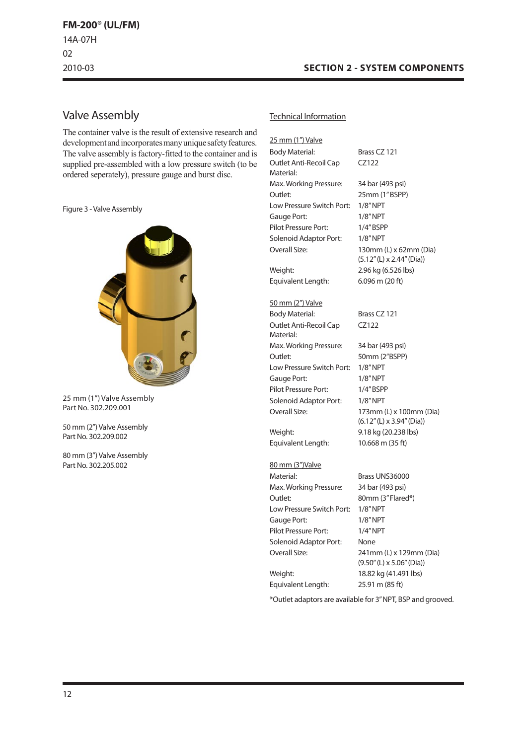### Valve Assembly

The container valve is the result of extensive research and development and incorporates many unique safety features. The valve assembly is factory-fitted to the container and is supplied pre-assembled with a low pressure switch (to be ordered seperately), pressure gauge and burst disc.

Figure 3 -Valve Assembly



25 mm (1") Valve Assembly Part No. 302.209.001

50 mm (2") Valve Assembly Part No. 302.209.002

80 mm (3") Valve Assembly Part No. 302.205.002

#### Technical Information

25 mm (1") Valve Body Material: Brass CZ 121 Outlet Anti-Recoil Cap Material: CZ122 Max.Working Pressure: 34 bar (493 psi) Outlet: 25mm (1"BSPP) Low Pressure Switch Port: 1/8"NPT Gauge Port: 1/8" NPT Pilot Pressure Port: 1/4" BSPP Solenoid Adaptor Port: 1/8"NPT Overall Size: 130mm (L) x 62mm (Dia) (5.12"(L) x 2.44"(Dia)) Weight: 2.96 kg (6.526 lbs) Equivalent Length: 6.096 m (20 ft) 50 mm (2") Valve Body Material: Brass CZ 121 Outlet Anti-Recoil Cap Material: CZ122 Max.Working Pressure: 34 bar (493 psi) Outlet: 50mm (2"BSPP) Low Pressure Switch Port: 1/8"NPT Gauge Port: 1/8" NPT Pilot Pressure Port: 1/4" BSPP Solenoid Adaptor Port: 1/8" NPT Overall Size: 173mm (L) x 100mm (Dia) (6.12"(L) x 3.94"(Dia)) Weight: 9.18 kg (20.238 lbs) Equivalent Length: 10.668 m (35 ft) 80 mm (3")Valve Material: Brass UNS36000 Max.Working Pressure: 34 bar (493 psi) Outlet: 80mm (3"Flared\*) Low Pressure Switch Port: 1/8"NPT Gauge Port: 1/8" NPT Pilot Pressure Port: 1/4"NPT Solenoid Adaptor Port: None Overall Size: 241mm (L) x 129mm (Dia)

Equivalent Length: 25.91 m (85 ft)

(9.50"(L) x 5.06"(Dia)) Weight: 18.82 kg (41.491 lbs)

\*Outlet adaptors are available for 3"NPT, BSP and grooved.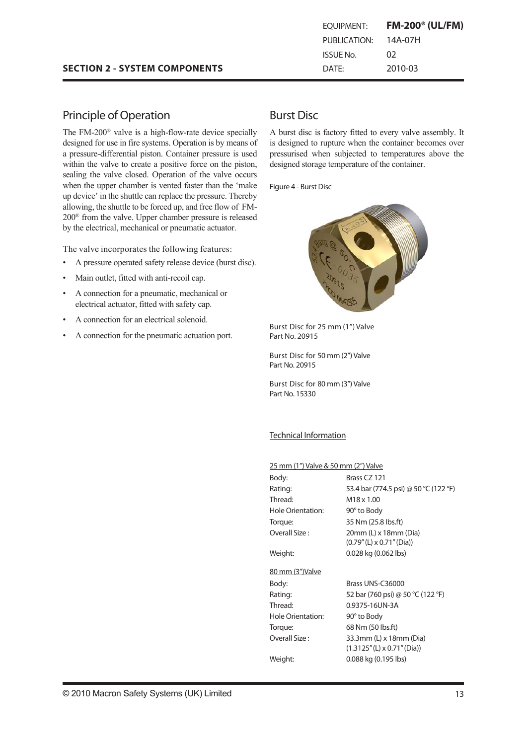| EOUIPMENT:   | $FM-200^{\circ}$ (UL/FM) |
|--------------|--------------------------|
| PUBLICATION: | 14A-07H                  |
| ISSUE No.    | 02                       |
| DATF:        | 2010-03                  |

### Principle of Operation

The FM-200® valve is a high-flow-rate device specially designed for use in fire systems. Operation is by means of a pressure-differential piston. Container pressure is used within the valve to create a positive force on the piston, sealing the valve closed. Operation of the valve occurs when the upper chamber is vented faster than the 'make up device' in the shuttle can replace the pressure. Thereby allowing, the shuttle to be forced up, and free flow of FM-200® from the valve. Upper chamber pressure is released by the electrical, mechanical or pneumatic actuator.

The valve incorporates the following features:

- A pressure operated safety release device (burst disc). •
- Main outlet, fitted with anti-recoil cap. •
- A connection for a pneumatic, mechanical or electrical actuator, fitted with safety cap. •
- A connection for an electrical solenoid. •
- A connection for the pneumatic actuation port. •

### Burst Disc

A burst disc is factory fitted to every valve assembly. It is designed to rupture when the container becomes over pressurised when subjected to temperatures above the designed storage temperature of the container.

Figure 4 - Burst Disc



Burst Disc for 25 mm (1") Valve Part No. 20915

Burst Disc for 50 mm (2") Valve Part No. 20915

Burst Disc for 80 mm (3") Valve Part No. 15330

### Technical Information

#### 25 mm (1") Valve & 50 mm (2") Valve

| Body:             | Brass CZ 121                                                  |
|-------------------|---------------------------------------------------------------|
| Rating:           | 53.4 bar (774.5 psi) @ 50 °C (122 °F)                         |
| Thread:           | M <sub>18</sub> x 1.00                                        |
| Hole Orientation: | 90° to Body                                                   |
| Torque:           | 35 Nm (25.8 lbs.ft)                                           |
| Overall Size:     | 20mm (L) x 18mm (Dia)<br>$(0.79''(L) \times 0.71''(Dia))$     |
| Weight:           | 0.028 kg (0.062 lbs)                                          |
| 80 mm (3")Valve   |                                                               |
| Body:             | Brass UNS-C36000                                              |
| Rating:           | 52 bar (760 psi) @ 50 °C (122 °F)                             |
| Thread:           | 0.9375-16UN-3A                                                |
| Hole Orientation: | 90° to Body                                                   |
| Torque:           | 68 Nm (50 lbs.ft)                                             |
| Overall Size:     | 33.3mm (L) x 18mm (Dia)<br>$(1.3125''(L) \times 0.71''(Dia))$ |
| Weight:           | 0.088 kg (0.195 lbs)                                          |
|                   |                                                               |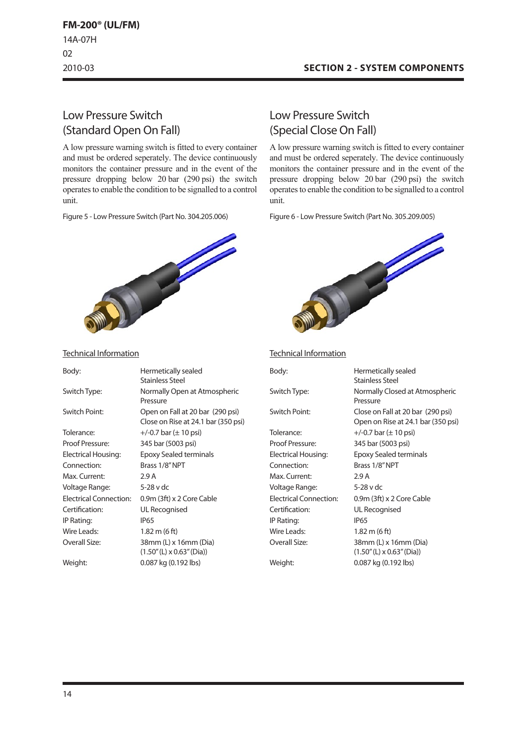### **SECTION 2 - SYSTEM COMPONENTS**

# Low Pressure Switch (Standard Open On Fall)

A low pressure warning switch is fitted to every container and must be ordered seperately. The device continuously monitors the container pressure and in the event of the pressure dropping below 20 bar (290 psi) the switch operates to enable the condition to be signalled to a control unit.

Figure 5 - Low Pressure Switch (Part No. 304.205.006)



# Low Pressure Switch (Special CloseOn Fall)

A low pressure warning switch is fitted to every container and must be ordered seperately. The device continuously monitors the container pressure and in the event of the pressure dropping below 20 bar (290 psi) the switch operates to enable the condition to be signalled to a control unit.

Figure 6 - Low Pressure Switch (Part No. 305.209.005)



#### Technical Information

| Body:                         | Hermetically sealed<br><b>Stainless Steel</b>                           |
|-------------------------------|-------------------------------------------------------------------------|
| Switch Type:                  | Normally Closed at Atmospheric<br>Pressure                              |
| Switch Point:                 | Close on Fall at 20 bar (290 psi)<br>Open on Rise at 24.1 bar (350 psi) |
| Tolerance:                    | $+/-0.7$ bar ( $\pm$ 10 psi)                                            |
| Proof Pressure:               | 345 bar (5003 psi)                                                      |
| Electrical Housing:           | Epoxy Sealed terminals                                                  |
| Connection:                   | Brass 1/8" NPT                                                          |
| Max. Current:                 | 2.9 A                                                                   |
| Voltage Range:                | 5-28 v dc                                                               |
| <b>Electrical Connection:</b> | 0.9m (3ft) x 2 Core Cable                                               |
| Certification:                | <b>UL Recognised</b>                                                    |
| IP Rating:                    | <b>IP65</b>                                                             |
| Wire Leads:                   | 1.82 m (6 ft)                                                           |
| Overall Size:                 | 38mm (L) x 16mm (Dia)<br>$(1.50''$ (L) x 0.63" (Dia))                   |
| Weight:                       | 0.087 kg (0.192 lbs)                                                    |

#### Technical Information

| Body:                  | Hermetically sealed                 |
|------------------------|-------------------------------------|
|                        | <b>Stainless Steel</b>              |
| Switch Type:           | Normally Open at Atmospheric        |
|                        | Pressure                            |
| Switch Point:          | Open on Fall at 20 bar (290 psi)    |
|                        | Close on Rise at 24.1 bar (350 psi) |
| Tolerance:             | $+/-0.7$ bar ( $\pm$ 10 psi)        |
| Proof Pressure:        | 345 bar (5003 psi)                  |
| Electrical Housing:    | Epoxy Sealed terminals              |
| Connection:            | Brass 1/8" NPT                      |
| Max. Current:          | 2.9A                                |
| Voltage Range:         | 5-28 v dc                           |
| Electrical Connection: | 0.9m (3ft) x 2 Core Cable           |
| Certification:         | UL Recognised                       |
| IP Rating:             | IP65                                |
| Wire Leads:            | $1.82 \text{ m}$ (6 ft)             |
| Overall Size:          | 38mm (L) x 16mm (Dia)               |
|                        | $(1.50''(L) \times 0.63''(Dia))$    |
| Weight:                | 0.087 kg (0.192 lbs)                |
|                        |                                     |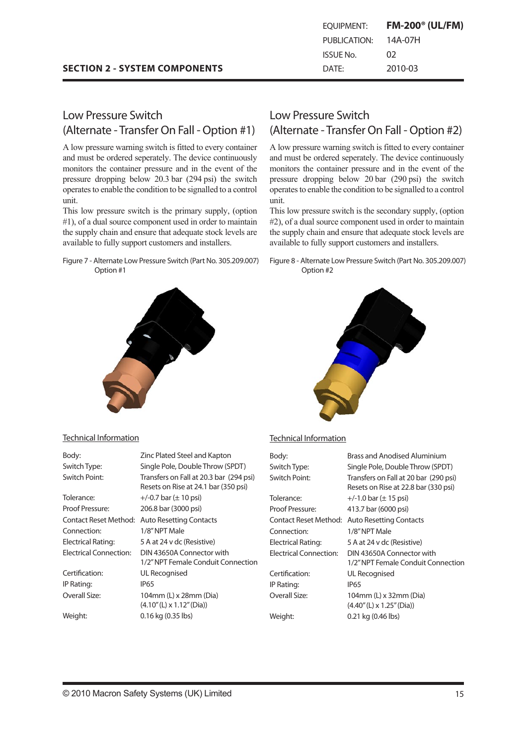|  |  | <b>SECTION 2 - SYSTEM COMPONENTS</b> |
|--|--|--------------------------------------|
|--|--|--------------------------------------|

| EOUIPMENT:       | <b>FM-200<sup>®</sup> (UL/FM)</b> |
|------------------|-----------------------------------|
| PUBLICATION:     | 14A-07H                           |
| <b>ISSUE No.</b> | 02                                |
| DATE:            | 2010-03                           |

# Low Pressure Switch (Alternate - Transfer On Fall - Option #1)

A low pressure warning switch is fitted to every container and must be ordered seperately. The device continuously monitors the container pressure and in the event of the pressure dropping below 20.3 bar (294 psi) the switch operates to enable the condition to be signalled to a control unit.

This low pressure switch is the primary supply, (option #1), of a dual source component used in order to maintain the supply chain and ensure that adequate stock levels are available to fully support customers and installers.

Figure 7 - Alternate Low Pressure Switch (Part No. 305.209.007) Option #1

### Low Pressure Switch (Alternate - Transfer On Fall - Option #2)

A low pressure warning switch is fitted to every container and must be ordered seperately. The device continuously monitors the container pressure and in the event of the pressure dropping below 20 bar (290 psi) the switch operates to enable the condition to be signalled to a control unit.

This low pressure switch is the secondary supply, (option #2), of a dual source component used in order to maintain the supply chain and ensure that adequate stock levels are available to fully support customers and installers.

#### Figure 8 - Alternate Low Pressure Switch (Part No. 305.209.007) Option #2



#### Technical Information

| Body:                         | Zinc Plated Steel and Kapton                                                    |
|-------------------------------|---------------------------------------------------------------------------------|
| Switch Type:                  | Single Pole, Double Throw (SPDT)                                                |
| Switch Point:                 | Transfers on Fall at 20.3 bar (294 psi)<br>Resets on Rise at 24.1 bar (350 psi) |
| Tolerance:                    | $+/-0.7$ bar ( $\pm$ 10 psi)                                                    |
| Proof Pressure:               | 206.8 bar (3000 psi)                                                            |
| Contact Reset Method:         | <b>Auto Resetting Contacts</b>                                                  |
| Connection:                   | 1/8" NPT Male                                                                   |
| Electrical Rating:            | 5 A at 24 v dc (Resistive)                                                      |
| <b>Electrical Connection:</b> | DIN 43650A Connector with<br>1/2" NPT Female Conduit Connection                 |
| Certification:                | UL Recognised                                                                   |
| IP Rating:                    | IP <sub>65</sub>                                                                |
| Overall Size:                 | 104mm (L) x 28mm (Dia)<br>$(4.10''$ (L) x $1.12''$ (Dia))                       |
| Weight:                       | 0.16 kg (0.35 lbs)                                                              |

### Technical Information

| Body:                         | Brass and Anodised Aluminium                                                  |
|-------------------------------|-------------------------------------------------------------------------------|
| Switch Type:                  | Single Pole, Double Throw (SPDT)                                              |
| Switch Point:                 | Transfers on Fall at 20 bar (290 psi)<br>Resets on Rise at 22.8 bar (330 psi) |
| Tolerance:                    | $+/-1.0$ bar ( $\pm$ 15 psi)                                                  |
| Proof Pressure:               | 413.7 bar (6000 psi)                                                          |
| Contact Reset Method:         | <b>Auto Resetting Contacts</b>                                                |
| Connection:                   | 1/8" NPT Male                                                                 |
| <b>Electrical Rating:</b>     | 5 A at 24 v dc (Resistive)                                                    |
| <b>Electrical Connection:</b> | DIN 43650A Connector with<br>1/2" NPT Female Conduit Connection               |
| Certification:                | UL Recognised                                                                 |
| IP Rating:                    | <b>IP65</b>                                                                   |
| Overall Size:                 | 104mm (L) x 32mm (Dia)<br>$(4.40''$ (L) x 1.25" (Dia))                        |
| Weight:                       | 0.21 kg (0.46 lbs)                                                            |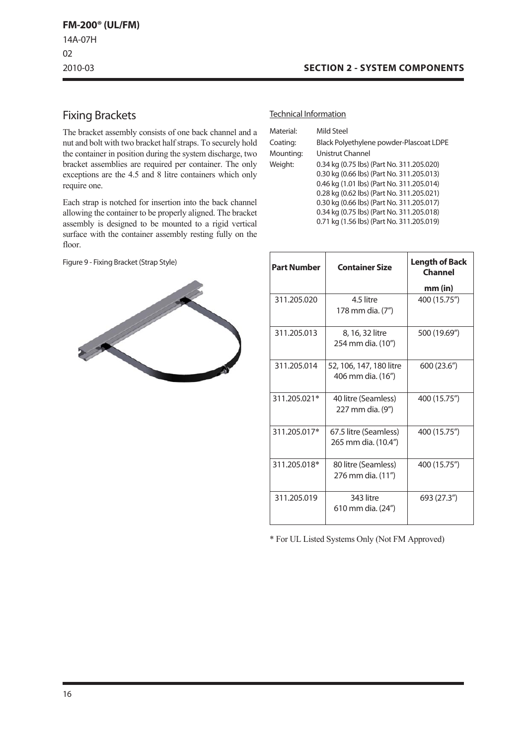### **SECTION 2 - SYSTEM COMPONENTS**

# Fixing Brackets

The bracket assembly consists of one back channel and a nut and bolt with two bracket half straps. To securely hold the container in position during the system discharge, two bracket assemblies are required per container. The only exceptions are the 4.5 and 8 litre containers which only require one.

Each strap is notched for insertion into the back channel allowing the container to be properly aligned. The bracket assembly is designed to be mounted to a rigid vertical surface with the container assembly resting fully on the floor.

Figure 9 - Fixing Bracket (Strap Style)



#### Technical Information

| Material: | Mild Steel                                |
|-----------|-------------------------------------------|
| Coating:  | Black Polyethylene powder-Plascoat LDPE   |
| Mounting: | Unistrut Channel                          |
| Weight:   | 0.34 kg (0.75 lbs) (Part No. 311.205.020) |
|           | 0.30 kg (0.66 lbs) (Part No. 311.205.013) |
|           | 0.46 kg (1.01 lbs) (Part No. 311.205.014) |
|           | 0.28 kg (0.62 lbs) (Part No. 311.205.021) |
|           | 0.30 kg (0.66 lbs) (Part No. 311.205.017) |
|           | 0.34 kg (0.75 lbs) (Part No. 311.205.018) |
|           | 0.71 kg (1.56 lbs) (Part No. 311.205.019) |
|           |                                           |

| <b>Part Number</b> | <b>Container Size</b>                        | <b>Length of Back</b><br>Channel |
|--------------------|----------------------------------------------|----------------------------------|
|                    |                                              | mm (in)                          |
| 311.205.020        | 4.5 litre<br>178 mm dia. (7")                | 400 (15.75")                     |
| 311.205.013        | 8, 16, 32 litre<br>254 mm dia. (10")         | 500 (19.69")                     |
| 311.205.014        | 52, 106, 147, 180 litre<br>406 mm dia. (16") | 600 (23.6")                      |
| 311.205.021*       | 40 litre (Seamless)<br>227 mm dia. (9")      | 400 (15.75")                     |
| 311.205.017*       | 67.5 litre (Seamless)<br>265 mm dia. (10.4") | 400 (15.75")                     |
| 311.205.018*       | 80 litre (Seamless)<br>276 mm dia. (11")     | 400 (15.75")                     |
| 311.205.019        | 343 litre<br>610 mm dia. (24")               | 693 (27.3")                      |

\* For UL Listed Systems Only (Not FM Approved)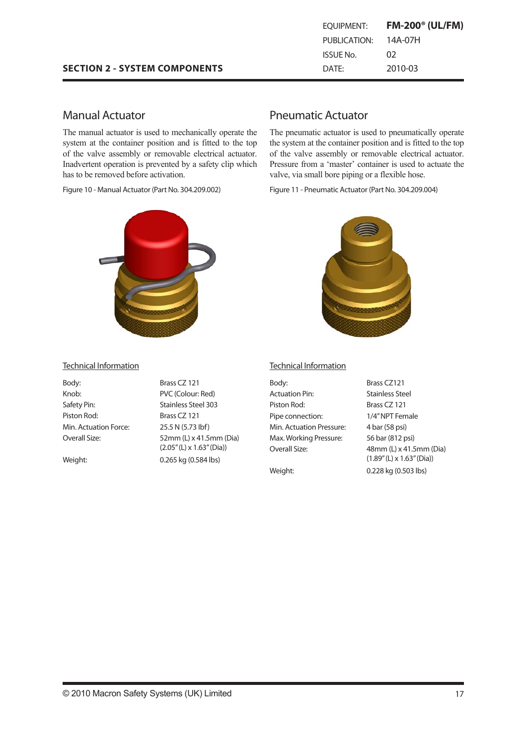| EOUIPMENT:   | <b>FM-200<sup>®</sup> (UL/FM)</b> |
|--------------|-----------------------------------|
| PUBLICATION: | 14A-07H                           |
| ISSUE No.    | 02                                |
| DATF:        | 2010-03                           |

### Manual Actuator

The manual actuator is used to mechanically operate the system at the container position and is fitted to the top of the valve assembly or removable electrical actuator. Inadvertent operation is prevented by a safety clip which has to be removed before activation.

Figure 10 - Manual Actuator (Part No. 304.209.002)



#### Technical Information

| Body:                 | Brass CZ 121                     | Вc  |
|-----------------------|----------------------------------|-----|
| Knob:                 | PVC (Colour: Red)                | A٥  |
| Safety Pin:           | <b>Stainless Steel 303</b>       | Pi: |
| Piston Rod:           | Brass CZ 121                     | Pi  |
| Min. Actuation Force: | 25.5 N (5.73 lbf)                | M   |
| Overall Size:         | 52mm (L) x 41.5mm (Dia)          | M   |
|                       | $(2.05''(L) \times 1.63''(Dia))$ | O   |
| Weight:               | 0.265 kg (0.584 lbs)             |     |

### Pneumatic Actuator

The pneumatic actuator is used to pneumatically operate the system at the container position and is fitted to the top of the valve assembly or removable electrical actuator. Pressure from a 'master' container is used to actuate the valve, via small bore piping or a flexible hose.

Figure 11 - Pneumatic Actuator (Part No. 304.209.004)



#### Technical Information

| Body:                    | Brass CZ121                                                 |
|--------------------------|-------------------------------------------------------------|
| <b>Actuation Pin:</b>    | Stainless Steel                                             |
| Piston Rod:              | Brass CZ 121                                                |
| Pipe connection:         | 1/4" NPT Female                                             |
| Min. Actuation Pressure: | 4 bar (58 psi)                                              |
| Max. Working Pressure:   | 56 bar (812 psi)                                            |
| Overall Size:            | 48mm (L) x 41.5mm (Dia)<br>$(1.89''(L) \times 1.63''(Dia))$ |
| Weight:                  | 0.228 kg (0.503 lbs)                                        |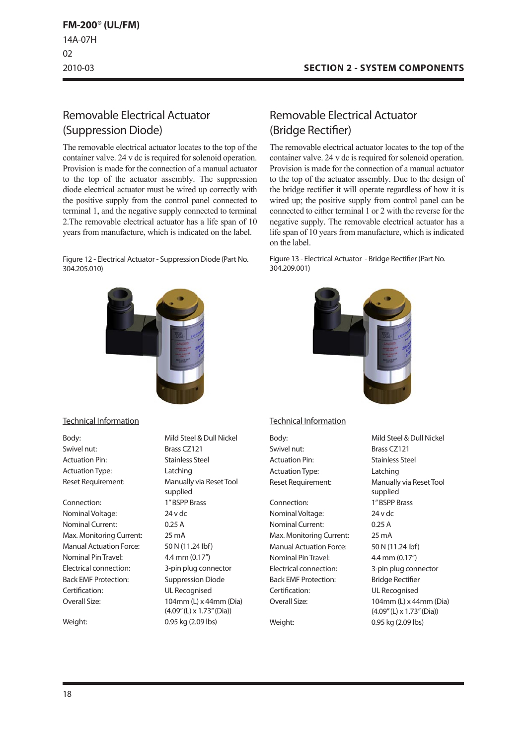# Removable Electrical Actuator (Suppression Diode)

The removable electrical actuator locates to the top of the container valve. 24 v dc is required for solenoid operation. Provision is made for the connection of a manual actuator to the top of the actuator assembly. The suppression diode electrical actuator must be wired up correctly with the positive supply from the control panel connected to terminal 1, and the negative supply connected to terminal 2.The removable electrical actuator has a life span of 10 years from manufacture, which is indicated on the label.

Figure 12 - Electrical Actuator - Suppression Diode (Part No. 304.205.010)



#### Technical Information

Swivel nut: Brass CZ121 Actuation Pin: Stainless Steel ActuationType: Latching

Connection: 1"BSPP Brass NominalVoltage: 24 v dc Nominal Current: 0.25 A Max. Monitoring Current: 25 mA Manual Actuation Force: 50 N (11.24 lbf) Nominal PinTravel: 4.4 mm (0.17") Electrical connection: 3-pin plug connector Back EMF Protection: Suppression Diode Certification: UL Recognised

Body: Body: Mild Steel & Dull Nickel Reset Requirement: Manually via Reset Tool supplied Overall Size: 104mm (L) x 44mm (Dia) (4.09"(L) x 1.73"(Dia)) Weight: 0.95 kg (2.09 lbs)

# Removable Electrical Actuator (Bridge Rectifier)

The removable electrical actuator locates to the top of the container valve. 24 v dc is required for solenoid operation. Provision is made for the connection of a manual actuator to the top of the actuator assembly. Due to the design of the bridge rectifier it will operate regardless of how it is wired up; the positive supply from control panel can be connected to either terminal 1 or 2 with the reverse for the negative supply. The removable electrical actuator has a life span of 10 years from manufacture, which is indicated on the label.

Figure 13 - Electrical Actuator - Bridge Rectifier (Part No. 304.209.001)



### Technical Information

Swivel nut: Brass CZ121 Actuation Pin: Stainless Steel ActuationType: Latching

Connection: 1"BSPP Brass NominalVoltage: 24 v dc Nominal Current: 0.25 A Max. Monitoring Current: 25 mA Manual Actuation Force: 50 N (11.24 lbf) Nominal PinTravel: 4.4 mm (0.17") Electrical connection: 3-pin plug connector Back EMF Protection: Bridge Rectifier Certification: UL Recognised Overall Size: 104mm (L) x 44mm (Dia)

Body: Mild Steel & Dull Nickel Reset Requirement: Manually via Reset Tool supplied (4.09"(L) x 1.73"(Dia)) Weight: 0.95 kg (2.09 lbs)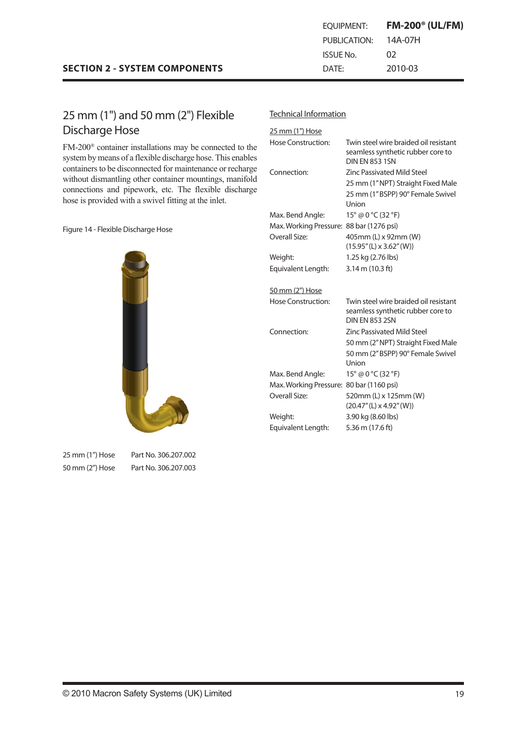Discharge Hose

25 mm (1") Hose Part No. 306.207.002 50 mm (2") Hose Part No. 306.207.003

#### Technical Information

| 25 mm (1") Hose                          |                                                                                                     |
|------------------------------------------|-----------------------------------------------------------------------------------------------------|
| Hose Construction:                       | Twin steel wire braided oil resistant<br>seamless synthetic rubber core to<br><b>DIN FN 853 1SN</b> |
| Connection:                              | <b>Zinc Passivated Mild Steel</b>                                                                   |
|                                          | 25 mm (1" NPT) Straight Fixed Male                                                                  |
|                                          | 25 mm (1"BSPP) 90° Female Swivel<br>Union                                                           |
| Max. Bend Angle:                         | $15^{\circ}$ @ 0 $^{\circ}$ C (32 $^{\circ}$ F)                                                     |
| Max. Working Pressure: 88 bar (1276 psi) |                                                                                                     |
| Overall Size:                            | 405mm (L) x 92mm (W)                                                                                |
|                                          | $(15.95''(L) \times 3.62''(W))$                                                                     |
| Weight:                                  | 1.25 kg (2.76 lbs)                                                                                  |
| Equivalent Length:                       | $3.14 \text{ m}$ (10.3 ft)                                                                          |
| 50 mm (2") Hose                          |                                                                                                     |
| Hose Construction:                       | Twin steel wire braided oil resistant                                                               |
|                                          | seamless synthetic rubber core to<br><b>DIN FN 853 2SN</b>                                          |
| Connection:                              | <b>Zinc Passivated Mild Steel</b>                                                                   |
|                                          | 50 mm (2" NPT) Straight Fixed Male                                                                  |
|                                          | 50 mm (2" BSPP) 90° Female Swivel                                                                   |
|                                          | Union                                                                                               |
| Max. Bend Angle:                         | 15° @ 0 °C (32 °F)                                                                                  |
| Max. Working Pressure: 80 bar (1160 psi) |                                                                                                     |
| Overall Size:                            | 520mm (L) x 125mm (W)                                                                               |
|                                          | $(20.47''(L) \times 4.92''(W))$                                                                     |
| Weight:<br>Equivalent Length:            | 3.90 kg (8.60 lbs)<br>5.36 m (17.6 ft)                                                              |



25 mm (1") and 50 mm (2") Flexible

**SECTION 2 - SYSTEM COMPONENTS**

FM-200® container installations may be connected to the system by means of a flexible discharge hose. This enables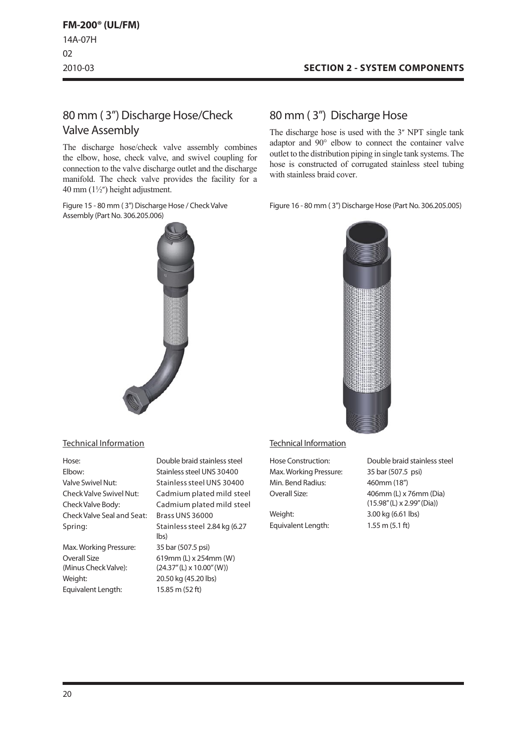# 80 mm ( 3") Discharge Hose/Check Valve Assembly

The discharge hose/check valve assembly combines the elbow, hose, check valve, and swivel coupling for connection to the valve discharge outlet and the discharge manifold. The check valve provides the facility for a 40 mm  $(1\frac{1}{2})$  height adjustment.

Figure 15 - 80 mm (3") Discharge Hose / Check Valve Assembly (Part No. 306.205.006)

### Technical Information

| Hose:                          | Double braid stainless steel  |
|--------------------------------|-------------------------------|
| Elbow:                         | Stainless steel UNS 30400     |
| <b>Valve Swivel Nut:</b>       | Stainless steel UNS 30400     |
| <b>Check Valve Swivel Nut:</b> | Cadmium plated mild ste       |
| Check Valve Body:              | Cadmium plated mild ste       |
| Check Valve Seal and Seat:     | <b>Brass UNS 36000</b>        |
| Spring:                        | Stainless steel 2.84 kg (6.2) |
|                                |                               |

Max.Working Pressure: 35 bar (507.5 psi) Overall Size (Minus Check Valve): Weight: 20.50 kg (45.20 lbs) Equivalent Length: 15.85 m (52 ft)

Stainless steel UNS 30400 Stainless steel UNS 30400 Cadmium plated mild steel Cadmium plated mild steel Brass UNS 36000 Stainless steel 2.84 kg (6.27 lbs) 619mm (L) x 254mm (W) (24.37"(L) x 10.00"(W))

### 80 mm ( 3") Discharge Hose

The discharge hose is used with the 3" NPT single tank adaptor and 90° elbow to connect the container valve outlet to the distribution piping in single tank systems. The hose is constructed of corrugated stainless steel tubing with stainless braid cover.

Figure 16 - 80 mm ( 3") Discharge Hose (Part No. 306.205.005)



### Technical Information

Max.Working Pressure: 35 bar (507.5 psi) Min. Bend Radius: 460mm (18")

Weight: 3.00 kg (6.61 lbs) Equivalent Length: 1.55 m (5.1 ft)

Hose Construction: Double braid stainless steel Overall Size: 406mm (L) x 76mm (Dia) (15.98"(L) x 2.99"(Dia))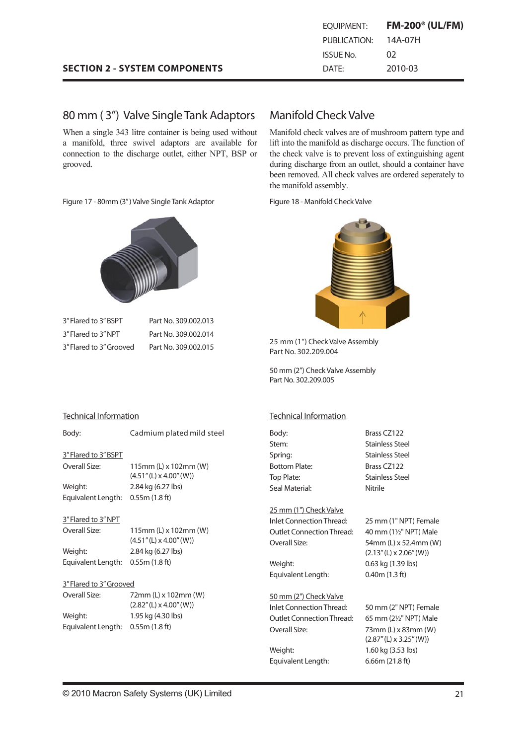| EOUIPMENT:   | <b>FM-200<sup>®</sup> (UL/FM)</b> |
|--------------|-----------------------------------|
| PUBLICATION: | 14A-07H                           |
| ISSUE No.    | 02                                |
| DATF:        | 2010-03                           |

### **SECTION 2 - SYSTEM COMPONENTS**

### 80 mm ( 3") Valve Single Tank Adaptors

When a single 343 litre container is being used without a manifold, three swivel adaptors are available for connection to the discharge outlet, either NPT, BSP or grooved.

Figure 17 - 80mm (3") Valve Single Tank Adaptor Figure 18 - Manifold Check Valve



3"Flared to 3"BSPT Part No. 309.002.013 3" Flared to 3" NPT Part No. 309.002.014 3"Flared to 3"Grooved Part No. 309.002.015

### Manifold CheckValve

Manifold check valves are of mushroom pattern type and lift into the manifold as discharge occurs. The function of the check valve is to prevent loss of extinguishing agent during discharge from an outlet, should a container have been removed. All check valves are ordered seperately to the manifold assembly.



25 mm (1") Check Valve Assembly Part No. 302.209.004

50 mm (2") Check Valve Assembly Part No. 302.209.005

#### Technical Information

Body: Brass CZ122 Stem: Stainless Steel Spring: Stainless Steel Bottom Plate: Brass CZ122 Top Plate: Stainless Steel Seal Material: Nitrile

#### 25 mm (1") CheckValve

Inlet ConnectionThread: 25 mm (1" NPT) Female Outlet ConnectionThread: 40 mm (1½" NPT) Male Overall Size: 54mm (L) x 52.4mm (W)

Weight: 0.63 kg (1.39 lbs) Equivalent Length: 0.40m (1.3 ft)

50 mm (2") CheckValve Inlet ConnectionThread: 50 mm (2" NPT) Female Outlet ConnectionThread: 65 mm (2½" NPT) Male

Weight: 1.60 kg (3.53 lbs) Equivalent Length: 6.66m (21.8 ft)

 $(2.13''(L) \times 2.06''(W))$ 

Overall Size: 73mm (L) x 83mm (W) (2.87"(L) x 3.25"(W))

#### Technical Information

### Body: Cadmium plated mild steel

3"Flared to 3"BSPT

Overall Size: 115mm (L) x 102mm (W)  $(4.51''(L) \times 4.00''(W))$ Weight: 2.84 kg (6.27 lbs) Equivalent Length: 0.55m (1.8 ft)

### 3"Flared to 3"NPT

| Overall Size:                     | 115mm (L) x 102mm (W)<br>$(4.51''(L) \times 4.00''(W))$ |
|-----------------------------------|---------------------------------------------------------|
| Weight:                           | 2.84 kg (6.27 lbs)                                      |
| Equivalent Length: 0.55m (1.8 ft) |                                                         |

### 3"Flared to 3"Grooved

Overall Size: 72mm (L) x 102mm (W) (2.82"(L) x 4.00"(W)) Weight: 1.95 kg (4.30 lbs) Equivalent Length: 0.55m (1.8 ft)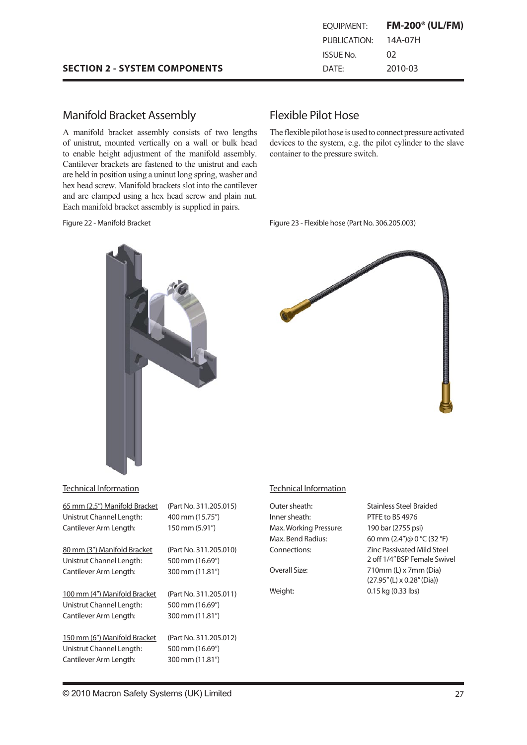### Manifold Bracket Assembly

A manifold bracket assembly consists of two lengths of unistrut, mounted vertically on a wall or bulk head to enable height adjustment of the manifold assembly. Cantilever brackets are fastened to the unistrut and each are held in position using a uninut long spring, washer and hex head screw. Manifold brackets slot into the cantilever and are clamped using a hex head screw and plain nut. Each manifold bracket assembly is supplied in pairs.

#### Figure 22 - Manifold Bracket

### Flexible Pilot Hose

The flexible pilot hose is used to connect pressure activated devices to the system, e.g. the pilot cylinder to the slave container to the pressure switch.

Figure 23 - Flexible hose (Part No. 306.205.003)





### Technical Information

| 65 mm (2.5") Manifold Bracket | (Part No. 311.205.015) |
|-------------------------------|------------------------|
| Unistrut Channel Length:      | 400 mm (15.75")        |
| Cantilever Arm Length:        | 150 mm (5.91")         |
| 80 mm (3") Manifold Bracket   | (Part No. 311.205.010) |
| Unistrut Channel Length:      | 500 mm (16.69")        |
| Cantilever Arm Length:        | 300 mm (11.81")        |
| 100 mm (4") Manifold Bracket  | (Part No. 311.205.011) |
| Unistrut Channel Length:      | 500 mm (16.69")        |
| Cantilever Arm Length:        | 300 mm (11.81″)        |
| 150 mm (6") Manifold Bracket  | (Part No. 311.205.012) |
| Unistrut Channel Length:      | 500 mm (16.69")        |
| Cantilever Arm Length:        | 300 mm (11.81")        |

#### Technical Information

| Outer sheath:         |
|-----------------------|
| Inner sheath:         |
| Max. Working Pressure |
| Max. Bend Radius:     |
| Connections:          |
|                       |

Stainless Steel Braided PTFE to BS 4976  $\ln 190 \text{ bar} (2755 \text{ psi})$ 60 mm (2.4")@ 0 °C (32 °F) **Zinc Passivated Mild Steel** 2 off 1/4"BSP Female Swivel Overall Size: 710mm (L) x 7mm (Dia) (27.95"(L) x 0.28"(Dia)) Weight: 0.15 kg (0.33 lbs)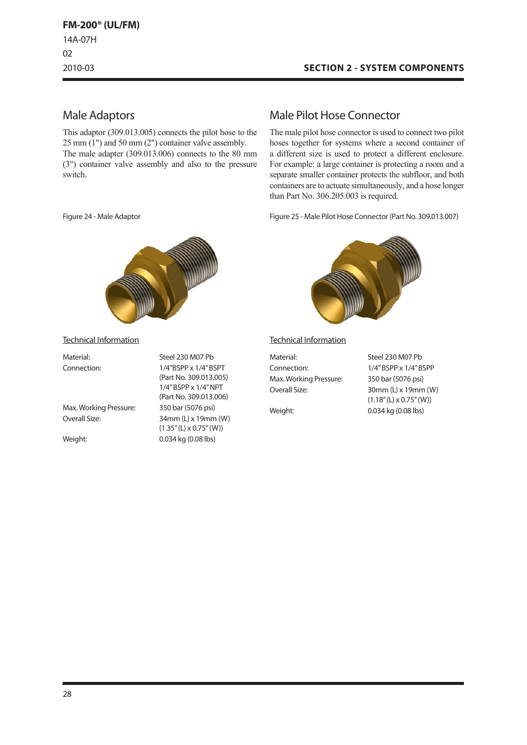### Male Adaptors

This adaptor (309.013.005) connects the pilot hose to the 25 mm (1") and 50 mm (2") container valve assembly. The male adapter (309.013.006) connects to the 80 mm (3") container valve assembly and also to the pressure switch.

Figure 24 - Male Adaptor



Technical Information

| Material:              | Steel 230 M07 Pb                                      |
|------------------------|-------------------------------------------------------|
| Connection:            | $1/4$ "BSPP x $1/4$ " BSPT                            |
|                        | (Part No. 309.013.005)                                |
|                        | 1/4" BSPP x 1/4" NPT                                  |
|                        | (Part No. 309.013.006)                                |
| Max. Working Pressure: | 350 bar (5076 psi)                                    |
| Overall Size:          | 34mm (L) x 19mm (W)<br>$(1.35''(L) \times 0.75''(W))$ |
| Weight:                | 0.034 kg (0.08 lbs)                                   |
|                        |                                                       |

### Male Pilot Hose Connector

The male pilot hose connector is used to connect two pilot hoses together for systems where a second container of a different size is used to protect a different enclosure. For example: a large container is protecting a room and a separate smaller container protects the subfloor, and both containers are to actuate simultaneously, and a hose longer than Part No. 306.205.003 is required.

Figure 25 - Male Pilot Hose Connector (Part No. 309.013.007)



Technical Information

| Material:              |
|------------------------|
| Connection:            |
| Max. Working Pressure: |
| Overall Size:          |

Steel 230 M07 Pb 1/4"BSPP x 1/4"BSPP 350 bar (5076 psi) 30mm (L) x 19mm (W)  $(1.18''(L) \times 0.75''(W))$ Weight: 0.034 kg (0.08 lbs)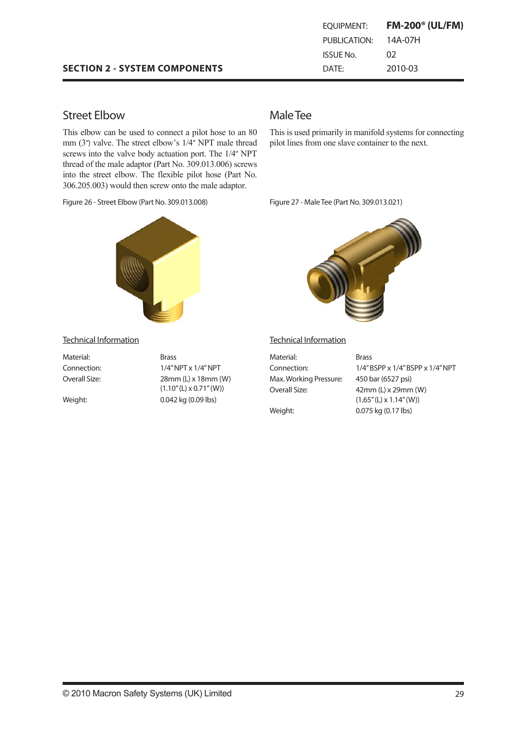### **SECTION 2 - SYSTEM COMPONENTS**

| EOUIPMENT:   | <b>FM-200<sup>®</sup> (UL/FM)</b> |
|--------------|-----------------------------------|
| PUBLICATION: | 14A-07H                           |
| ISSUE No.    | 02                                |
| DATF:        | 2010-03                           |

# Street Elbow

This elbow can be used to connect a pilot hose to an 80 mm (3") valve. The street elbow's 1/4" NPT male thread screws into the valve body actuation port. The 1/4" NPT thread of the male adaptor (Part No. 309.013.006) screws into the street elbow. The flexible pilot hose (Part No. 306.205.003) would then screw onto the male adaptor.

Figure 26 - Street Elbow (Part No. 309.013.008)



## MaleTee

This is used primarily in manifold systems for connecting pilot lines from one slave container to the next.

Figure 27 - Male Tee (Part No. 309.013.021)



#### Technical Information

Material: Brass

Connection: 1/4"NPT x 1/4"NPT Overall Size: 28mm (L) x 18mm (W)  $(1.10''(L) \times 0.71''(W))$ Weight: 0.042 kg (0.09 lbs)

#### Technical Information

| Material:              | <b>Brass</b>                     |
|------------------------|----------------------------------|
| Connection:            | 1/4" BSPP x 1/4" BSPP x 1/4" NPT |
| Max. Working Pressure: | 450 bar (6527 psi)               |
| Overall Size:          | $42mm$ (L) x $29mm$ (W)          |
|                        | $(1.65''(L) \times 1.14''(W))$   |
| Weight:                | 0.075 kg (0.17 lbs)              |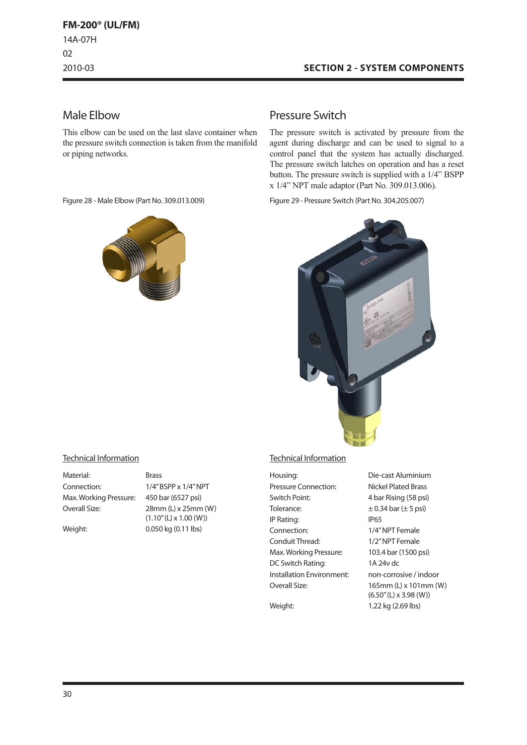### **SECTION 2 - SYSTEM COMPONENTS**

### Male Elbow

This elbow can be used on the last slave container when the pressure switch connection is taken from the manifold or piping networks.



### Pressure Switch

The pressure switch is activated by pressure from the agent during discharge and can be used to signal to a control panel that the system has actually discharged. The pressure switch latches on operation and has a reset button. The pressure switch is supplied with a 1/4" BSPP x 1/4" NPT male adaptor (Part No. 309.013.006).

Figure 28 - Male Elbow (Part No. 309.013.009) Figure 29 - Pressure Switch (Part No. 304.205.007)



#### Technical Information

| Material:              |  |
|------------------------|--|
| Connection:            |  |
| Max. Working Pressure: |  |
| Overall Size:          |  |
|                        |  |

**Brass** 1/4"BSPP x 1/4"NPT 450 bar (6527 psi) 28mm (L) x 25mm (W)  $(1.10''(L) \times 1.00 (W))$ Weight: 0.050 kg (0.11 lbs)

#### Technical Information

| Housing:                  | Die-cast Aluminium            |
|---------------------------|-------------------------------|
| Pressure Connection:      | Nickel Plated Brass           |
| Switch Point:             | 4 bar Rising (58 psi)         |
| Tolerance:                | $\pm$ 0.34 bar ( $\pm$ 5 psi) |
| IP Rating:                | IP65                          |
| Connection:               | 1/4" NPT Female               |
| Conduit Thread:           | 1/2" NPT Female               |
| Max. Working Pressure:    | 103.4 bar (1500 psi)          |
| DC Switch Rating:         | 1A 24v dc                     |
| Installation Environment: | non-corrosive / indoor        |
| Overall Size:             | 165mm (L) x 101mm (W)         |
|                           | $(6.50"$ (L) x 3.98 (W))      |

Weight: 1.22 kg (2.69 lbs)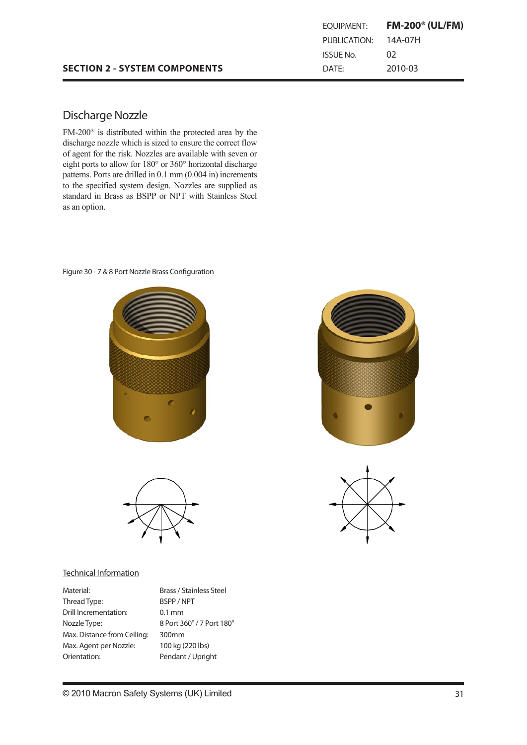#### **SECTION 2 - SYSTEM COMPONENTS SECTION 2 - SYSTEM COMPONENTS** Discharge Nozzle

eight ports to allow for 180° or 360° horizontal discharge paterns. Forts are unned in 0.1 html (0.004 m) increments<br>to the specified system design. Nozzles are supplied as discharge no zure nozzle which is sized to ensure the correct which is sized to ensure the correct of the correct of the correct of the correct of the correct of the correct of the correct of the correct of the correct of  $\frac{1}{2}$  standard in Diass as DOIT of the risk with standard  $\alpha$ s alloption.  $rge$  $\overline{38}$  $15$ m (1/2)  $8$  $20<sup>2</sup>$  BSP  $\frac{1}{2}$  $d = \frac{d}{dt}$  is  $D_{\text{max}} = DCDD_{\text{max}} + DDT_{\text{max}}$  is  $Q_{\text{min}}Q_{\text{max}}$  and  $Q_{\text{max}}$ standard in Brass as BSPP or NPT with Stainless Steel  $\mathcal{L}$  eight ports to allow  $\mathcal{L}$ FM-200® is distributed within the protected area by the discharge nozzle which is sized to ensure the correct flow of agent for the risk. Nozzles are available with seven or patterns. Ports are drilled in 0.1 mm (0.004 in) increments as an option.

### Figure 30 - 7 & 8 Port Nozzle Brass Configuration





### Technical Information

| Material:                   | <b>Brass / Stainless Steel</b> |
|-----------------------------|--------------------------------|
| Thread Type:                | BSPP / NPT                     |
| Drill Incrementation:       | $0.1$ mm                       |
| Nozzle Type:                | 8 Port 360° / 7 Port 180°      |
| Max. Distance from Ceiling: | 300mm                          |
| Max. Agent per Nozzle:      | 100 kg (220 lbs)               |
| Orientation:                | Pendant / Upright              |
|                             |                                |



EQUIPMENT: **FM-200® (UL/FM)**

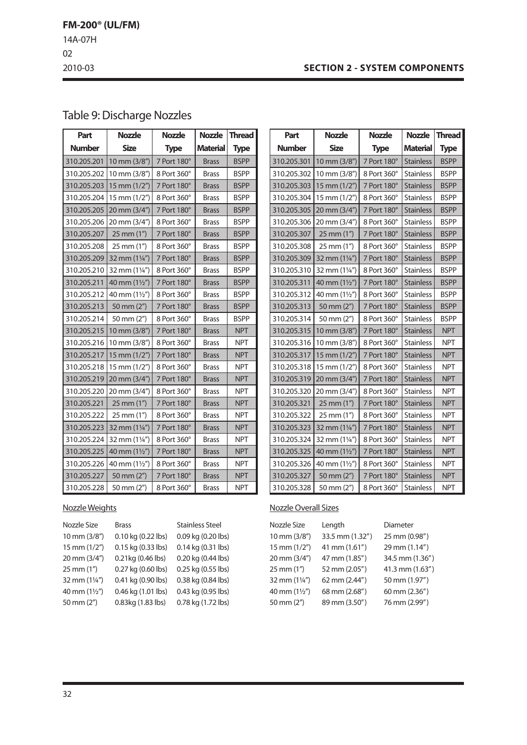### **SECTION 2 - SYSTEM COMPONENTS**

**Part Nozzle Nozzle Nozzle Thread** 

# Table 9: Discharge Nozzles

| Part          | <b>Nozzle</b>          | <b>Nozzle</b> | <b>Nozzle</b>   | <b>Thread</b> |
|---------------|------------------------|---------------|-----------------|---------------|
| <b>Number</b> | <b>Size</b>            | <b>Type</b>   | <b>Material</b> | <b>Type</b>   |
| 310.205.201   | $10 \text{ mm} (3/8")$ | 7 Port 180°   | <b>Brass</b>    | <b>BSPP</b>   |
| 310.205.202   | 10 mm (3/8")           | 8 Port 360°   | <b>Brass</b>    | <b>BSPP</b>   |
| 310.205.203   | $15$ mm $(1/2")$       | 7 Port 180°   | <b>Brass</b>    | <b>BSPP</b>   |
| 310.205.204   | $15$ mm $(1/2")$       | 8 Port 360°   | <b>Brass</b>    | <b>BSPP</b>   |
| 310.205.205   | 20 mm (3/4")           | 7 Port 180°   | <b>Brass</b>    | <b>BSPP</b>   |
| 310.205.206   | 20 mm (3/4")           | 8 Port 360°   | <b>Brass</b>    | <b>BSPP</b>   |
| 310.205.207   | 25 mm (1")             | 7 Port 180°   | <b>Brass</b>    | <b>BSPP</b>   |
| 310.205.208   | 25 mm (1")             | 8 Port 360°   | <b>Brass</b>    | <b>BSPP</b>   |
| 310.205.209   | 32 mm $(1\frac{1}{4})$ | 7 Port 180°   | <b>Brass</b>    | <b>BSPP</b>   |
| 310.205.210   | 32 mm (1¼")            | 8 Port 360°   | <b>Brass</b>    | <b>BSPP</b>   |
| 310.205.211   | 40 mm (1½")            | 7 Port 180°   | <b>Brass</b>    | <b>BSPP</b>   |
| 310.205.212   | 40 mm $(1\frac{1}{2})$ | 8 Port 360°   | <b>Brass</b>    | <b>BSPP</b>   |
| 310.205.213   | 50 mm (2")             | 7 Port 180°   | <b>Brass</b>    | <b>BSPP</b>   |
| 310.205.214   | 50 mm (2")             | 8 Port 360°   | <b>Brass</b>    | <b>BSPP</b>   |
| 310.205.215   | 10 mm (3/8")           | 7 Port 180°   | <b>Brass</b>    | <b>NPT</b>    |
| 310.205.216   | 10 mm (3/8")           | 8 Port 360°   | <b>Brass</b>    | <b>NPT</b>    |
| 310.205.217   | 15 mm (1/2")           | 7 Port 180°   | <b>Brass</b>    | <b>NPT</b>    |
| 310.205.218   | $15 \text{ mm} (1/2")$ | 8 Port 360°   | <b>Brass</b>    | <b>NPT</b>    |
| 310.205.219   | 20 mm (3/4")           | 7 Port 180°   | <b>Brass</b>    | <b>NPT</b>    |
| 310.205.220   | 20 mm (3/4")           | 8 Port 360°   | <b>Brass</b>    | <b>NPT</b>    |
| 310.205.221   | 25 mm (1")             | 7 Port 180°   | <b>Brass</b>    | <b>NPT</b>    |
| 310.205.222   | 25 mm (1")             | 8 Port 360°   | <b>Brass</b>    | <b>NPT</b>    |
| 310.205.223   | 32 mm $(1\frac{1}{4})$ | 7 Port 180°   | <b>Brass</b>    | <b>NPT</b>    |
| 310.205.224   | 32 mm (1¼")            | 8 Port 360°   | <b>Brass</b>    | <b>NPT</b>    |
| 310.205.225   | 40 mm (1½")            | 7 Port 180°   | <b>Brass</b>    | <b>NPT</b>    |
| 310.205.226   | 40 mm (1½")            | 8 Port 360°   | <b>Brass</b>    | <b>NPT</b>    |
| 310.205.227   | 50 mm (2")             | 7 Port 180°   | <b>Brass</b>    | <b>NPT</b>    |
| 310.205.228   | 50 mm (2")             | 8 Port 360°   | <b>Brass</b>    | <b>NPT</b>    |

| <b>Number</b> | <b>Size</b>            | <b>Type</b> | <b>Material</b>  | <b>Type</b> |
|---------------|------------------------|-------------|------------------|-------------|
| 310.205.301   | 10 mm (3/8")           | 7 Port 180° | <b>Stainless</b> | <b>BSPP</b> |
| 310.205.302   | 10 mm (3/8")           | 8 Port 360° | <b>Stainless</b> | <b>BSPP</b> |
| 310.205.303   | 15 mm $(1/2")$         | 7 Port 180° | <b>Stainless</b> | <b>BSPP</b> |
| 310.205.304   | 15 mm (1/2")           | 8 Port 360° | <b>Stainless</b> | <b>BSPP</b> |
| 310.205.305   | 20 mm (3/4")           | 7 Port 180° | <b>Stainless</b> | <b>BSPP</b> |
| 310.205.306   | 20 mm (3/4")           | 8 Port 360° | <b>Stainless</b> | <b>BSPP</b> |
| 310.205.307   | $25$ mm $(1")$         | 7 Port 180° | <b>Stainless</b> | <b>BSPP</b> |
| 310.205.308   | 25 mm (1")             | 8 Port 360° | <b>Stainless</b> | <b>BSPP</b> |
| 310.205.309   | 32 mm $(1\frac{1}{4})$ | 7 Port 180° | <b>Stainless</b> | <b>BSPP</b> |
| 310.205.310   | 32 mm (1¼")            | 8 Port 360° | <b>Stainless</b> | <b>BSPP</b> |
| 310.205.311   | 40 mm (11/2")          | 7 Port 180° | <b>Stainless</b> | <b>BSPP</b> |
| 310.205.312   | 40 mm (11/2")          | 8 Port 360° | <b>Stainless</b> | <b>BSPP</b> |
| 310.205.313   | 50 mm $(2n)$           | 7 Port 180° | <b>Stainless</b> | <b>BSPP</b> |
| 310.205.314   | 50 mm (2")             | 8 Port 360° | <b>Stainless</b> | <b>BSPP</b> |
| 310.205.315   | 10 mm (3/8")           | 7 Port 180° | <b>Stainless</b> | <b>NPT</b>  |
| 310.205.316   | 10 mm (3/8")           | 8 Port 360° | <b>Stainless</b> | <b>NPT</b>  |
| 310.205.317   | 15 mm $(1/2")$         | 7 Port 180° | <b>Stainless</b> | <b>NPT</b>  |
| 310.205.318   | 15 mm (1/2")           | 8 Port 360° | <b>Stainless</b> | <b>NPT</b>  |
| 310.205.319   | 20 mm (3/4")           | 7 Port 180° | <b>Stainless</b> | <b>NPT</b>  |
| 310.205.320   | 20 mm (3/4")           | 8 Port 360° | <b>Stainless</b> | <b>NPT</b>  |
| 310.205.321   | $25 \, \text{mm}$ (1") | 7 Port 180° | <b>Stainless</b> | <b>NPT</b>  |
| 310.205.322   | 25 mm (1")             | 8 Port 360° | <b>Stainless</b> | <b>NPT</b>  |
| 310.205.323   | 32 mm (1¼")            | 7 Port 180° | <b>Stainless</b> | <b>NPT</b>  |
| 310.205.324   | 32 mm (1¼")            | 8 Port 360° | <b>Stainless</b> | <b>NPT</b>  |
| 310.205.325   | 40 mm (11/2")          | 7 Port 180° | <b>Stainless</b> | <b>NPT</b>  |
| 310.205.326   | 40 mm (1½")            | 8 Port 360° | <b>Stainless</b> | <b>NPT</b>  |
| 310.205.327   | 50 mm (2")             | 7 Port 180° | <b>Stainless</b> | <b>NPT</b>  |
| 310.205.328   | 50 mm (2")             | 8 Port 360° | <b>Stainless</b> | <b>NPT</b>  |

### NozzleWeights

| Nozzle Size   | <b>Brass</b>       | <b>Stainless Steel</b> |
|---------------|--------------------|------------------------|
| 10 mm (3/8")  | 0.10 kg (0.22 lbs) | 0.09 kg (0.20 lbs)     |
| 15 mm (1/2")  | 0.15 kg (0.33 lbs) | 0.14 kg (0.31 lbs)     |
| 20 mm (3/4")  | 0.21kg (0.46 lbs)  | 0.20 kg (0.44 lbs)     |
| 25 mm (1")    | 0.27 kg (0.60 lbs) | 0.25 kg (0.55 lbs)     |
| 32 mm (11/4") | 0.41 kg (0.90 lbs) | 0.38 kg (0.84 lbs)     |
| 40 mm (11/2") | 0.46 kg (1.01 lbs) | 0.43 kg (0.95 lbs)     |
| 50 mm (2")    | 0.83kg (1.83 lbs)  | 0.78 kg (1.72 lbs)     |
|               |                    |                        |

### **Nozzle Overall Sizes**

| Nozzle Size            | Length          | <b>Diameter</b> |
|------------------------|-----------------|-----------------|
| 10 mm (3/8")           | 33.5 mm (1.32") | 25 mm (0.98")   |
| $15$ mm $(1/2")$       | 41 mm (1.61")   | 29 mm (1.14")   |
| 20 mm (3/4")           | 47 mm (1.85")   | 34.5 mm (1.36") |
| $25 \text{ mm} (1")$   | 52 mm (2.05")   | 41.3 mm (1.63") |
| 32 mm $(1\frac{1}{4})$ | 62 mm (2.44")   | 50 mm (1.97")   |
| 40 mm (11/2")          | 68 mm (2.68")   | 60 mm (2.36")   |
| 50 mm (2")             | 89 mm (3.50")   | 76 mm (2.99")   |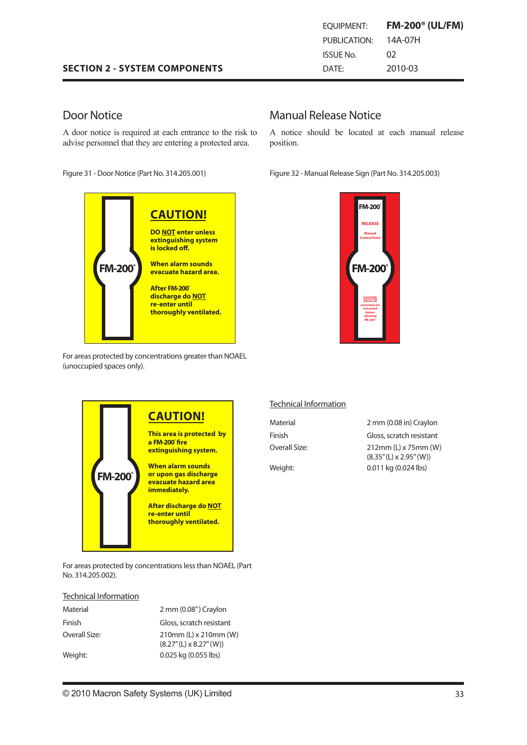|  |  | <b>SECTION 2 - SYSTEM COMPONENTS</b> |
|--|--|--------------------------------------|
|--|--|--------------------------------------|

## EQUIPMENT: **FM-200® (UL/FM)** PUBLICATION: 14A-07H ISSUE No. 02 DATE: 2010-03

# Door Notice

A door notice is required at each entrance to the risk to advise personnel that they are entering a protected area.

Figure 31 - Door Notice (Part No. 314.205.001)



For areas protected by concentrations greater than NOAEL (unoccupied spaces only).

### Manual Release Notice

A notice should be located at each manual release position.

Figure 32 - Manual Release Sign (Part No. 314.205.003)





For areas protected by concentrations less than NOAEL (Part No. 314.205.002).

#### Technical Information

| Material      | 2 mm (0.08") Craylon                                          |
|---------------|---------------------------------------------------------------|
| Finish        | Gloss, scratch resistant                                      |
| Overall Size: | $210$ mm (L) x $210$ mm (W)<br>$(8.27''(L) \times 8.27''(W))$ |
| Weight:       | 0.025 kg (0.055 lbs)                                          |

### Technical Information

Material 2 mm (0.08 in) Craylon Finish Gloss, scratch resistant Overall Size: 212mm (L) x 75mm (W) (8.35"(L) x 2.95"(W)) Weight: 0.011 kg (0.024 lbs)